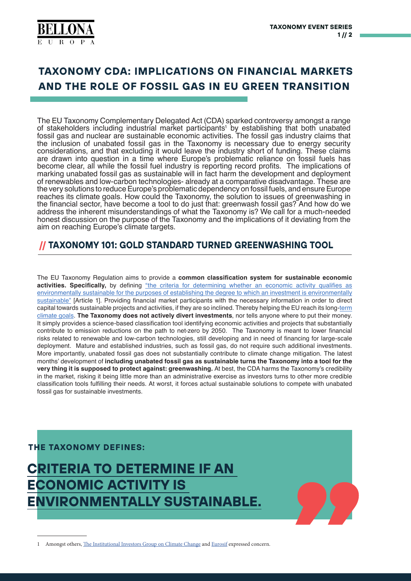

# **TAXONOMY CDA: IMPLICATIONS ON FINANCIAL MARKETS AND THE ROLE OF FOSSIL GAS IN EU GREEN TRANSITION**

The EU Taxonomy Complementary Delegated Act (CDA) sparked controversy amongst a range of stakeholders including industrial market participants<sup>1</sup> by establishing that both unabated fossil gas and nuclear are sustainable economic activities. The fossil gas industry claims that the inclusion of unabated fossil gas in the Taxonomy is necessary due to energy security considerations, and that excluding it would leave the industry short of funding. These claims are drawn into question in a time where Europe's problematic reliance on fossil fuels has become clear, all while the fossil fuel industry is reporting record profits. The implications of marking unabated fossil gas as sustainable will in fact harm the development and deployment of renewables and low-carbon technologies- already at a comparative disadvantage. These are the very solutions to reduce Europe's problematic dependency on fossil fuels, and ensure Europe reaches its climate goals. How could the Taxonomy, the solution to issues of greenwashing in the financial sector, have become a tool to do just that: greenwash fossil gas? And how do we address the inherent misunderstandings of what the Taxonomy is? We call for a much-needed honest discussion on the purpose of the Taxonomy and the implications of it deviating from the aim on reaching Europe's climate targets.

## **TAXONOMY 101: GOLD STANDARD TURNED GREENWASHING TOOL**

The EU Taxonomy Regulation aims to provide a **common classification system for sustainable economic**  activities. Specifically, by defining "the criteria for determining whether an economic activity qualifies as environmentally sustainable for the purposes of establishing the degree to which an investment is environmentally sustainable" [Article 1]. Providing financial market participants with the necessary information in order to direct capital towards sustainable projects and activities, if they are so inclined. Thereby helping the EU reach its long-term climate goals. **The Taxonomy does not actively divert investments**, nor tells anyone where to put their money. It simply provides a science-based classification tool identifying economic activities and projects that substantially contribute to emission reductions on the path to net-zero by 2050. The Taxonomy is meant to lower financial risks related to renewable and low-carbon technologies, still developing and in need of financing for large-scale deployment. Mature and established industries, such as fossil gas, do not require such additional investments. More importantly, unabated fossil gas does not substantially contribute to climate change mitigation. The latest months' development of **including unabated fossil gas as sustainable turns the Taxonomy into a tool for the very thing it is supposed to protect against: greenwashing.** At best, the CDA harms the Taxonomy's credibility in the market, risking it being little more than an administrative exercise as investors turns to other more credible classification tools fulfilling their needs. At worst, it forces actual sustainable solutions to compete with unabated fossil gas for sustainable investments.

### **THE TAXONOMY DEFINES:**



1 Amongst others, The Institutional Investors Group on Climate Change and Eurosif expressed concern.